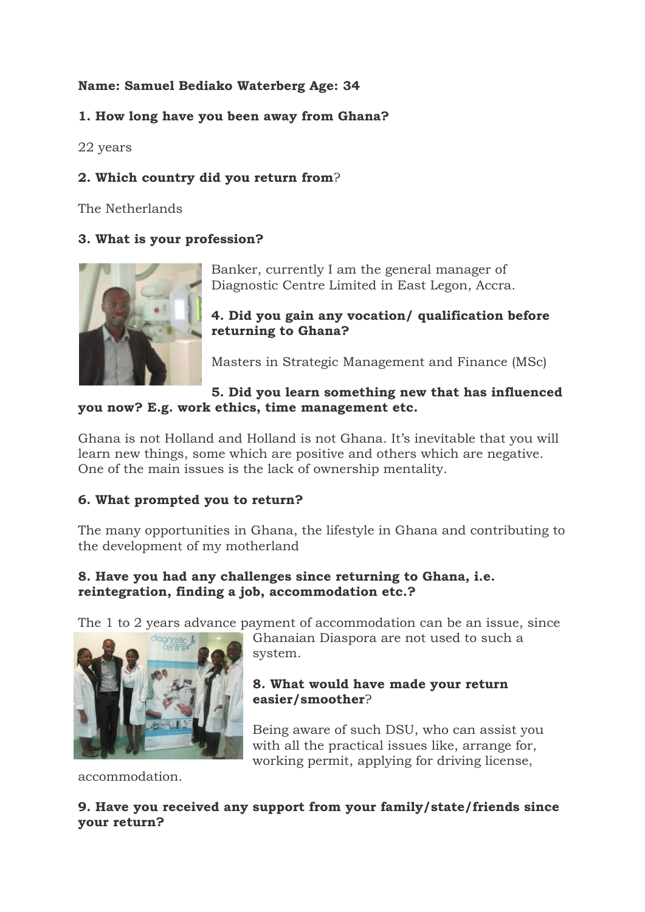# **Name: Samuel Bediako Waterberg Age: 34**

# **1. How long have you been away from Ghana?**

22 years

# **2. Which country did you return from**?

The Netherlands

### **3. What is your profession?**



Banker, currently I am the general manager of Diagnostic Centre Limited in East Legon, Accra.

**4. Did you gain any vocation/ qualification before returning to Ghana?**

Masters in Strategic Management and Finance (MSc)

### **5. Did you learn something new that has influenced you now? E.g. work ethics, time management etc.**

Ghana is not Holland and Holland is not Ghana. It's inevitable that you will learn new things, some which are positive and others which are negative. One of the main issues is the lack of ownership mentality.

# **6. What prompted you to return?**

The many opportunities in Ghana, the lifestyle in Ghana and contributing to the development of my motherland

### **8. Have you had any challenges since returning to Ghana, i.e. reintegration, finding a job, accommodation etc.?**

The 1 to 2 years advance payment of accommodation can be an issue, since



Ghanaian Diaspora are not used to such a system.

### **8. What would have made your return easier/smoother**?

Being aware of such DSU, who can assist you with all the practical issues like, arrange for, working permit, applying for driving license,

accommodation.

### **9. Have you received any support from your family/state/friends since your return?**